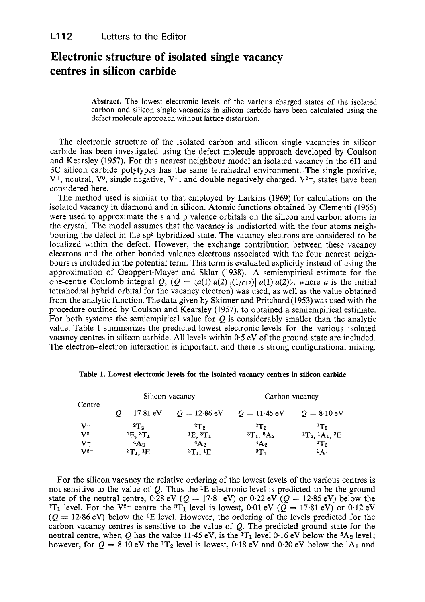## **Electronic structure of isolated single vacancy centres in silicon carbide**

**Abstract.** The lowest electronic levels of the various charged states of the isolated carbon and silicon single vacancies in silicon carbide have been calculated using the defect molecule approach without lattice distortion.

The electronic structure of the isolated carbon and silicon single vacancies in silicon carbide has been investigated using the defect molecule approach developed by Coulson and Kearsley (1957). For this nearest neighbour model an isolated vacancy in the 6H and 3C silicon carbide polytypes has the same tetrahedral environment. The single positive,  $V^+$ , neutral,  $V^0$ , single negative,  $V^-$ , and double negatively charged,  $V^2$ , states have been considered here.

The method used is similar to that employed by Larkins (1969) for calculations on the isolated vacancy in diamond and in silicon. Atomic functions obtained by Clementi (1965) were used to approximate the s and p valence orbitals on the silicon and carbon atoms in the crystal. The model assumes that the vacancy is undistorted with the four atoms neighbouring the defect in the sp3 hybridized state. The vacancy electrons are considered to be localized within the defect. However, the exchange contribution between these vacancy electrons and the other bonded valance electrons associated with the four nearest neighbours is included in the potential term. This term is evaluated explicitly instead of using the approximation of Geoppert-Mayer and Sklar (1938). A semiempirical estimate for the one-centre Coulomb integral Q,  $(Q = \langle a(1) a(2) | (1/r_{12}) | a(1) a(2) \rangle$ , where *a* is the initial tetrahedral hybrid orbital for the vacancy electron) was used, as well as the value obtained from the analytic function. The data given by Skinner and Pritchard (1953) was used with the procedure outlined by Coulson and Kearsley (1957), to obtained a semiempirical estimate. For both systems the semiempirical value for  $\hat{O}$  is considerably smaller than the analytic value. Table 1 summarizes the predicted lowest electronic levels for the various isolated vacancy centres in silicon carbide. All levels within 0.5 eV of the ground state are included. The electron-electron interaction is important, and there is strong configurational mixing.

| Centre                    | Silicon vacancy                |                              | Carbon vacancy                |                                           |
|---------------------------|--------------------------------|------------------------------|-------------------------------|-------------------------------------------|
|                           | $Q = 17.81$ eV                 | $Q = 12.86 \text{ eV}$       | $Q = 11.45$ eV                | $Q = 8.10$ eV                             |
| $V^+$                     | 2T <sub>2</sub>                | 2T <sub>2</sub>              | 2T <sub>2</sub>               | 2T <sub>2</sub>                           |
| $\mathbf{V}^{\mathbf{0}}$ | $1E, 3T_1$                     | $1E.3T_1$                    | ${}^{3}T_{1}$ , ${}^{5}A_{2}$ | ${}^{1}T_{2}$ , ${}^{1}A_{1}$ , ${}^{3}E$ |
| $V^-$                     | $4A_2$                         | $4A_2$                       | $4A_2$                        | 2T <sub>2</sub>                           |
| $V^2$                     | ${}^{3}T_{1}$ , <sup>1</sup> E | ${}^{3}T_1$ , <sup>1</sup> E | 3T <sub>1</sub>               | $^1$ A <sub>1</sub>                       |

|  |  | Table 1. Lowest electronic levels for the isolated vacancy centres in silicon carbide |
|--|--|---------------------------------------------------------------------------------------|
|--|--|---------------------------------------------------------------------------------------|

For the silicon vacancy the relative ordering of the lowest levels of the various centres is not sensitive to the value of *Q.* Thus the 1E electronic level is predicted to be the ground state of the neutral centre,  $0.\overline{28}$  eV ( $Q = 17.81$  eV) or  $0.22$  eV ( $Q = 12.85$  eV) below the  $3T_1$  level. For the V<sup>2-</sup> centre the  $3T_1$  level is lowest, 0.01 eV ( $\overline{Q} = 17.81$  eV) or 0.12 eV  $(Q = 12.86 \text{ eV})$  below the <sup>1</sup>E level. However, the ordering of the levels predicted for the carbon vacancy centres is sensitive to the value of  $Q$ . The predicted ground state for the neutral centre, when Q has the value 11.45 eV, is the  ${}^{3}T_{1}$  level 0.16 eV below the  ${}^{5}A_{2}$  level; however, for  $Q = 8.10$  eV the <sup>1</sup>T<sub>2</sub> level is lowest, 0.18 eV and 0.20 eV below the <sup>1</sup>A<sub>1</sub> and